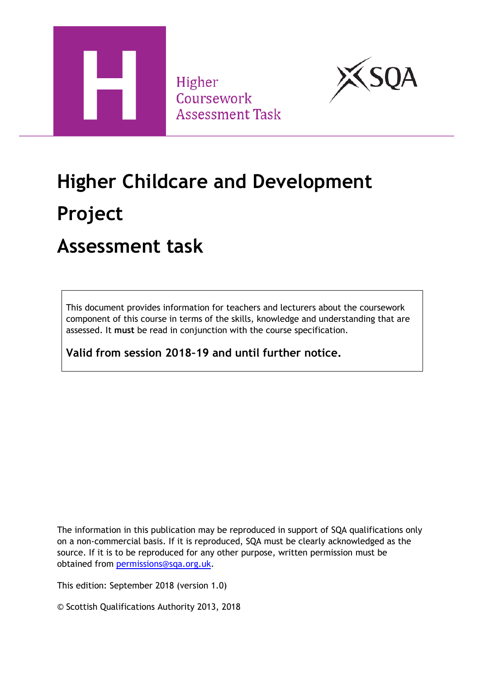

Higher Coursework **Assessment Task** 



# **Higher Childcare and Development Project**

### **Assessment task**

This document provides information for teachers and lecturers about the coursework component of this course in terms of the skills, knowledge and understanding that are assessed. It **must** be read in conjunction with the course specification.

**Valid from session 2018–19 and until further notice.**

The information in this publication may be reproduced in support of SQA qualifications only on a non-commercial basis. If it is reproduced, SQA must be clearly acknowledged as the source. If it is to be reproduced for any other purpose, written permission must be obtained from [permissions@sqa.org.uk.](mailto:permissions@sqa.org.uk)

This edition: September 2018 (version 1.0)

© Scottish Qualifications Authority 2013, 2018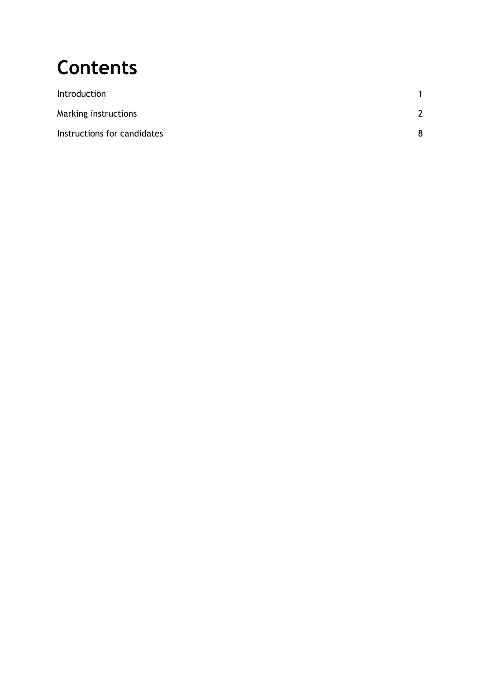## **Contents**

| Introduction                |   |
|-----------------------------|---|
| Marking instructions        | ີ |
| Instructions for candidates | 8 |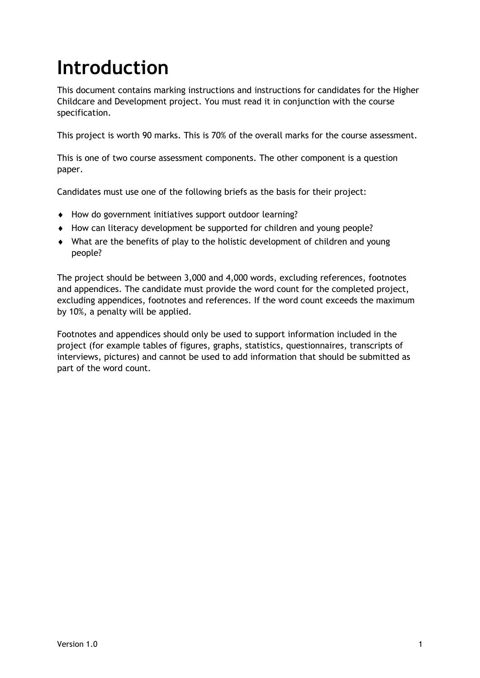## <span id="page-2-0"></span>**Introduction**

This document contains marking instructions and instructions for candidates for the Higher Childcare and Development project. You must read it in conjunction with the course specification.

This project is worth 90 marks. This is 70% of the overall marks for the course assessment.

This is one of two course assessment components. The other component is a question paper.

Candidates must use one of the following briefs as the basis for their project:

- How do government initiatives support outdoor learning?
- How can literacy development be supported for children and young people?
- What are the benefits of play to the holistic development of children and young people?

The project should be between 3,000 and 4,000 words, excluding references, footnotes and appendices. The candidate must provide the word count for the completed project, excluding appendices, footnotes and references. If the word count exceeds the maximum by 10%, a penalty will be applied.

Footnotes and appendices should only be used to support information included in the project (for example tables of figures, graphs, statistics, questionnaires, transcripts of interviews, pictures) and cannot be used to add information that should be submitted as part of the word count.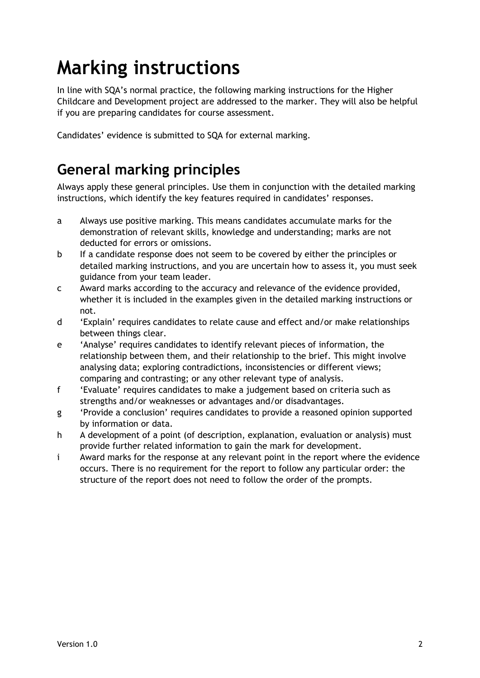## <span id="page-3-0"></span>**Marking instructions**

In line with SQA's normal practice, the following marking instructions for the Higher Childcare and Development project are addressed to the marker. They will also be helpful if you are preparing candidates for course assessment.

Candidates' evidence is submitted to SQA for external marking.

### **General marking principles**

Always apply these general principles. Use them in conjunction with the detailed marking instructions, which identify the key features required in candidates' responses.

- a Always use positive marking. This means candidates accumulate marks for the demonstration of relevant skills, knowledge and understanding; marks are not deducted for errors or omissions.
- b If a candidate response does not seem to be covered by either the principles or detailed marking instructions, and you are uncertain how to assess it, you must seek guidance from your team leader.
- c Award marks according to the accuracy and relevance of the evidence provided, whether it is included in the examples given in the detailed marking instructions or not.
- d 'Explain' requires candidates to relate cause and effect and/or make relationships between things clear.
- e 'Analyse' requires candidates to identify relevant pieces of information, the relationship between them, and their relationship to the brief. This might involve analysing data; exploring contradictions, inconsistencies or different views; comparing and contrasting; or any other relevant type of analysis.
- f 'Evaluate' requires candidates to make a judgement based on criteria such as strengths and/or weaknesses or advantages and/or disadvantages.
- g 'Provide a conclusion' requires candidates to provide a reasoned opinion supported by information or data.
- h A development of a point (of description, explanation, evaluation or analysis) must provide further related information to gain the mark for development.
- i Award marks for the response at any relevant point in the report where the evidence occurs. There is no requirement for the report to follow any particular order: the structure of the report does not need to follow the order of the prompts.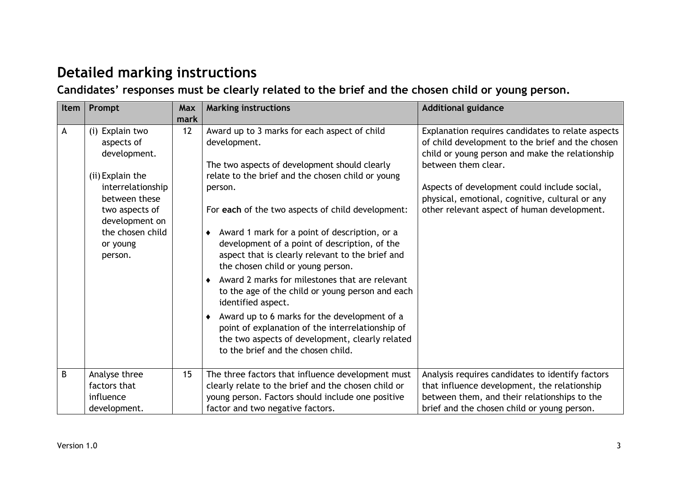### **Detailed marking instructions**

**Candidates' responses must be clearly related to the brief and the chosen child or young person.**

| Item | Prompt                                        | Max  | <b>Marking instructions</b>                                                                                                                                                                 | <b>Additional guidance</b>                                                                                                                                                      |
|------|-----------------------------------------------|------|---------------------------------------------------------------------------------------------------------------------------------------------------------------------------------------------|---------------------------------------------------------------------------------------------------------------------------------------------------------------------------------|
|      |                                               | mark |                                                                                                                                                                                             |                                                                                                                                                                                 |
| A    | (i) Explain two<br>aspects of<br>development. | 12   | Award up to 3 marks for each aspect of child<br>development.                                                                                                                                | Explanation requires candidates to relate aspects<br>of child development to the brief and the chosen<br>child or young person and make the relationship<br>between them clear. |
|      | (ii) Explain the                              |      | The two aspects of development should clearly<br>relate to the brief and the chosen child or young                                                                                          |                                                                                                                                                                                 |
|      | interrelationship                             |      | person.                                                                                                                                                                                     | Aspects of development could include social,                                                                                                                                    |
|      | between these                                 |      |                                                                                                                                                                                             | physical, emotional, cognitive, cultural or any                                                                                                                                 |
|      | two aspects of<br>development on              |      | For each of the two aspects of child development:                                                                                                                                           | other relevant aspect of human development.                                                                                                                                     |
|      | the chosen child<br>or young<br>person.       |      | • Award 1 mark for a point of description, or a<br>development of a point of description, of the<br>aspect that is clearly relevant to the brief and<br>the chosen child or young person.   |                                                                                                                                                                                 |
|      |                                               |      | Award 2 marks for milestones that are relevant<br>to the age of the child or young person and each<br>identified aspect.                                                                    |                                                                                                                                                                                 |
|      |                                               |      | • Award up to 6 marks for the development of a<br>point of explanation of the interrelationship of<br>the two aspects of development, clearly related<br>to the brief and the chosen child. |                                                                                                                                                                                 |
| B    | Analyse three                                 | 15   | The three factors that influence development must                                                                                                                                           | Analysis requires candidates to identify factors                                                                                                                                |
|      | factors that                                  |      | clearly relate to the brief and the chosen child or                                                                                                                                         | that influence development, the relationship                                                                                                                                    |
|      | influence                                     |      | young person. Factors should include one positive                                                                                                                                           | between them, and their relationships to the                                                                                                                                    |
|      | development.                                  |      | factor and two negative factors.                                                                                                                                                            | brief and the chosen child or young person.                                                                                                                                     |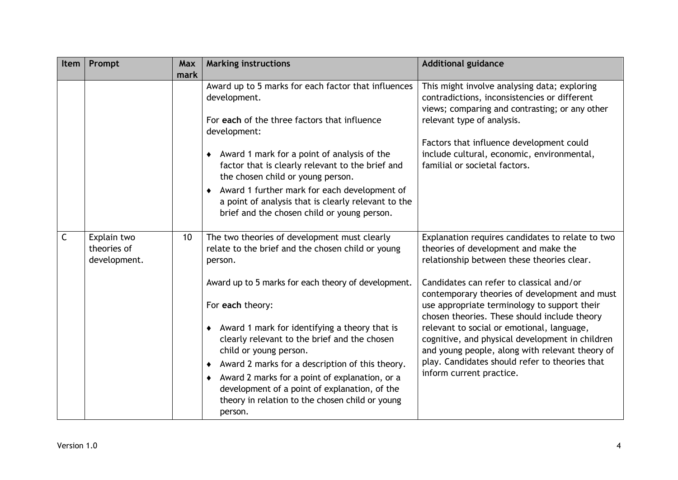| Item | Prompt                                     | <b>Max</b><br>mark | <b>Marking instructions</b>                                                                                                                                                                                                                                                                                                                                                                                                                                                                                                                           | <b>Additional guidance</b>                                                                                                                                                                                                                                                                                                                                                                                                                                                                                                                                            |
|------|--------------------------------------------|--------------------|-------------------------------------------------------------------------------------------------------------------------------------------------------------------------------------------------------------------------------------------------------------------------------------------------------------------------------------------------------------------------------------------------------------------------------------------------------------------------------------------------------------------------------------------------------|-----------------------------------------------------------------------------------------------------------------------------------------------------------------------------------------------------------------------------------------------------------------------------------------------------------------------------------------------------------------------------------------------------------------------------------------------------------------------------------------------------------------------------------------------------------------------|
|      |                                            |                    | Award up to 5 marks for each factor that influences<br>development.<br>For each of the three factors that influence<br>development:<br>• Award 1 mark for a point of analysis of the<br>factor that is clearly relevant to the brief and<br>the chosen child or young person.<br>• Award 1 further mark for each development of<br>a point of analysis that is clearly relevant to the<br>brief and the chosen child or young person.                                                                                                                 | This might involve analysing data; exploring<br>contradictions, inconsistencies or different<br>views; comparing and contrasting; or any other<br>relevant type of analysis.<br>Factors that influence development could<br>include cultural, economic, environmental,<br>familial or societal factors.                                                                                                                                                                                                                                                               |
| C    | Explain two<br>theories of<br>development. | 10 <sup>°</sup>    | The two theories of development must clearly<br>relate to the brief and the chosen child or young<br>person.<br>Award up to 5 marks for each theory of development.<br>For each theory:<br>• Award 1 mark for identifying a theory that is<br>clearly relevant to the brief and the chosen<br>child or young person.<br>Award 2 marks for a description of this theory.<br>Award 2 marks for a point of explanation, or a<br>$\bullet$<br>development of a point of explanation, of the<br>theory in relation to the chosen child or young<br>person. | Explanation requires candidates to relate to two<br>theories of development and make the<br>relationship between these theories clear.<br>Candidates can refer to classical and/or<br>contemporary theories of development and must<br>use appropriate terminology to support their<br>chosen theories. These should include theory<br>relevant to social or emotional, language,<br>cognitive, and physical development in children<br>and young people, along with relevant theory of<br>play. Candidates should refer to theories that<br>inform current practice. |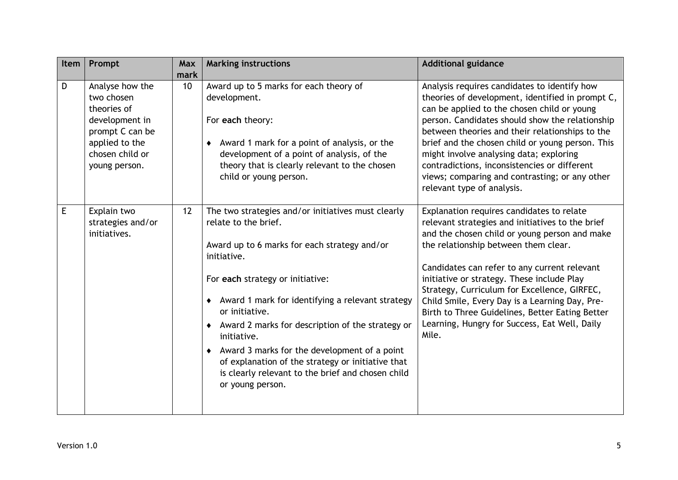| Item | Prompt                                                                                                                                  | <b>Max</b><br>mark | <b>Marking instructions</b>                                                                                                                                                                                                                                                                                                                                                                                                                                                                                         | <b>Additional guidance</b>                                                                                                                                                                                                                                                                                                                                                                                                                                                                          |
|------|-----------------------------------------------------------------------------------------------------------------------------------------|--------------------|---------------------------------------------------------------------------------------------------------------------------------------------------------------------------------------------------------------------------------------------------------------------------------------------------------------------------------------------------------------------------------------------------------------------------------------------------------------------------------------------------------------------|-----------------------------------------------------------------------------------------------------------------------------------------------------------------------------------------------------------------------------------------------------------------------------------------------------------------------------------------------------------------------------------------------------------------------------------------------------------------------------------------------------|
| D    | Analyse how the<br>two chosen<br>theories of<br>development in<br>prompt C can be<br>applied to the<br>chosen child or<br>young person. | 10                 | Award up to 5 marks for each theory of<br>development.<br>For each theory:<br>Award 1 mark for a point of analysis, or the<br>development of a point of analysis, of the<br>theory that is clearly relevant to the chosen<br>child or young person.                                                                                                                                                                                                                                                                 | Analysis requires candidates to identify how<br>theories of development, identified in prompt C,<br>can be applied to the chosen child or young<br>person. Candidates should show the relationship<br>between theories and their relationships to the<br>brief and the chosen child or young person. This<br>might involve analysing data; exploring<br>contradictions, inconsistencies or different<br>views; comparing and contrasting; or any other<br>relevant type of analysis.                |
| Ε    | Explain two<br>strategies and/or<br>initiatives.                                                                                        | 12                 | The two strategies and/or initiatives must clearly<br>relate to the brief.<br>Award up to 6 marks for each strategy and/or<br>initiative.<br>For each strategy or initiative:<br>Award 1 mark for identifying a relevant strategy<br>or initiative.<br>• Award 2 marks for description of the strategy or<br>initiative.<br>Award 3 marks for the development of a point<br>$\bullet$<br>of explanation of the strategy or initiative that<br>is clearly relevant to the brief and chosen child<br>or young person. | Explanation requires candidates to relate<br>relevant strategies and initiatives to the brief<br>and the chosen child or young person and make<br>the relationship between them clear.<br>Candidates can refer to any current relevant<br>initiative or strategy. These include Play<br>Strategy, Curriculum for Excellence, GIRFEC,<br>Child Smile, Every Day is a Learning Day, Pre-<br>Birth to Three Guidelines, Better Eating Better<br>Learning, Hungry for Success, Eat Well, Daily<br>Mile. |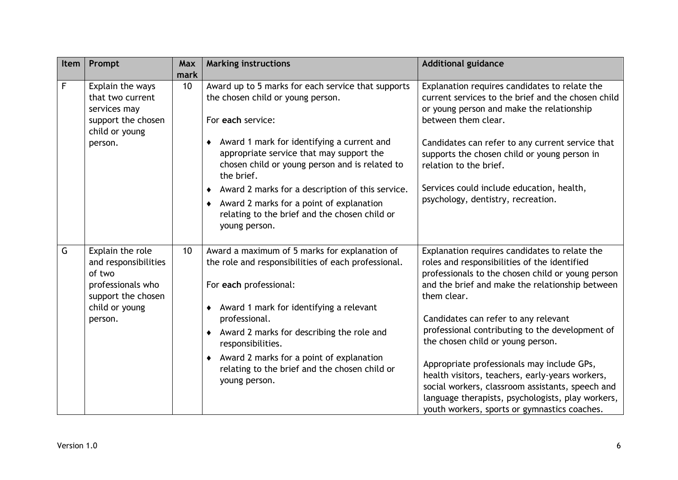| Item | Prompt                                                                                        | <b>Max</b><br>mark | <b>Marking instructions</b>                                                                                                                                                      | <b>Additional guidance</b>                                                                                                                                                                                                                             |
|------|-----------------------------------------------------------------------------------------------|--------------------|----------------------------------------------------------------------------------------------------------------------------------------------------------------------------------|--------------------------------------------------------------------------------------------------------------------------------------------------------------------------------------------------------------------------------------------------------|
| F    | Explain the ways<br>that two current<br>services may<br>support the chosen<br>child or young  | 10 <sup>1</sup>    | Award up to 5 marks for each service that supports<br>the chosen child or young person.<br>For each service:                                                                     | Explanation requires candidates to relate the<br>current services to the brief and the chosen child<br>or young person and make the relationship<br>between them clear.                                                                                |
|      | person.                                                                                       |                    | Award 1 mark for identifying a current and<br>appropriate service that may support the<br>chosen child or young person and is related to<br>the brief.                           | Candidates can refer to any current service that<br>supports the chosen child or young person in<br>relation to the brief.                                                                                                                             |
|      |                                                                                               |                    | Award 2 marks for a description of this service.<br>٠<br>Award 2 marks for a point of explanation<br>$\bullet$<br>relating to the brief and the chosen child or<br>young person. | Services could include education, health,<br>psychology, dentistry, recreation.                                                                                                                                                                        |
| G    | Explain the role<br>and responsibilities<br>of two<br>professionals who<br>support the chosen | 10 <sup>1</sup>    | Award a maximum of 5 marks for explanation of<br>the role and responsibilities of each professional.<br>For each professional:                                                   | Explanation requires candidates to relate the<br>roles and responsibilities of the identified<br>professionals to the chosen child or young person<br>and the brief and make the relationship between<br>them clear.                                   |
|      | child or young<br>person.                                                                     |                    | ◆ Award 1 mark for identifying a relevant<br>professional.<br>• Award 2 marks for describing the role and<br>responsibilities.                                                   | Candidates can refer to any relevant<br>professional contributing to the development of<br>the chosen child or young person.                                                                                                                           |
|      |                                                                                               |                    | • Award 2 marks for a point of explanation<br>relating to the brief and the chosen child or<br>young person.                                                                     | Appropriate professionals may include GPs,<br>health visitors, teachers, early-years workers,<br>social workers, classroom assistants, speech and<br>language therapists, psychologists, play workers,<br>youth workers, sports or gymnastics coaches. |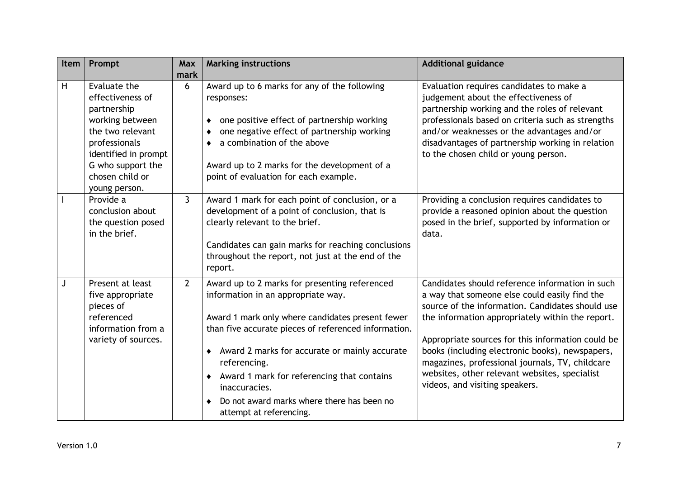| Item | Prompt                                                                                                                                                                                   | Max<br>mark    | <b>Marking instructions</b>                                                                                                                                                                                                                                                                                                                                                                                                | <b>Additional guidance</b>                                                                                                                                                                                                                                                                                                                                                                                                                             |
|------|------------------------------------------------------------------------------------------------------------------------------------------------------------------------------------------|----------------|----------------------------------------------------------------------------------------------------------------------------------------------------------------------------------------------------------------------------------------------------------------------------------------------------------------------------------------------------------------------------------------------------------------------------|--------------------------------------------------------------------------------------------------------------------------------------------------------------------------------------------------------------------------------------------------------------------------------------------------------------------------------------------------------------------------------------------------------------------------------------------------------|
| H    | Evaluate the<br>effectiveness of<br>partnership<br>working between<br>the two relevant<br>professionals<br>identified in prompt<br>G who support the<br>chosen child or<br>young person. | 6              | Award up to 6 marks for any of the following<br>responses:<br>one positive effect of partnership working<br>one negative effect of partnership working<br>a combination of the above<br>Award up to 2 marks for the development of a<br>point of evaluation for each example.                                                                                                                                              | Evaluation requires candidates to make a<br>judgement about the effectiveness of<br>partnership working and the roles of relevant<br>professionals based on criteria such as strengths<br>and/or weaknesses or the advantages and/or<br>disadvantages of partnership working in relation<br>to the chosen child or young person.                                                                                                                       |
|      | Provide a<br>conclusion about<br>the question posed<br>in the brief.                                                                                                                     | $\mathbf{3}$   | Award 1 mark for each point of conclusion, or a<br>development of a point of conclusion, that is<br>clearly relevant to the brief.<br>Candidates can gain marks for reaching conclusions<br>throughout the report, not just at the end of the<br>report.                                                                                                                                                                   | Providing a conclusion requires candidates to<br>provide a reasoned opinion about the question<br>posed in the brief, supported by information or<br>data.                                                                                                                                                                                                                                                                                             |
|      | Present at least<br>five appropriate<br>pieces of<br>referenced<br>information from a<br>variety of sources.                                                                             | $\overline{2}$ | Award up to 2 marks for presenting referenced<br>information in an appropriate way.<br>Award 1 mark only where candidates present fewer<br>than five accurate pieces of referenced information.<br>Award 2 marks for accurate or mainly accurate<br>$\bullet$<br>referencing.<br>Award 1 mark for referencing that contains<br>٠<br>inaccuracies.<br>Do not award marks where there has been no<br>attempt at referencing. | Candidates should reference information in such<br>a way that someone else could easily find the<br>source of the information. Candidates should use<br>the information appropriately within the report.<br>Appropriate sources for this information could be<br>books (including electronic books), newspapers,<br>magazines, professional journals, TV, childcare<br>websites, other relevant websites, specialist<br>videos, and visiting speakers. |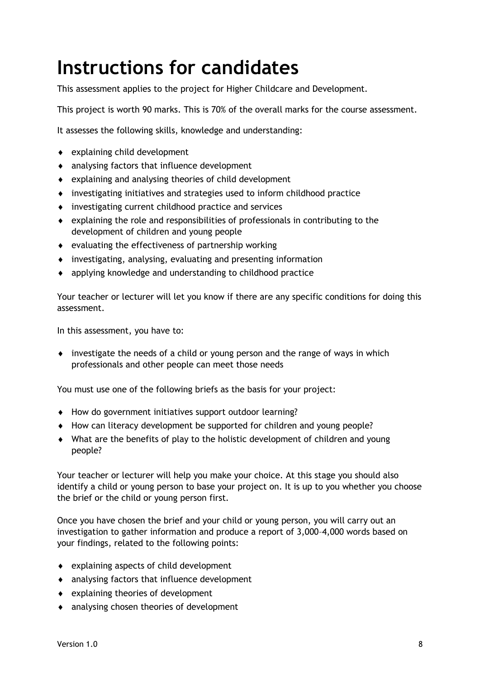## <span id="page-9-0"></span>**Instructions for candidates**

This assessment applies to the project for Higher Childcare and Development.

This project is worth 90 marks. This is 70% of the overall marks for the course assessment.

It assesses the following skills, knowledge and understanding:

- explaining child development
- analysing factors that influence development
- $\bullet$  explaining and analysing theories of child development
- investigating initiatives and strategies used to inform childhood practice
- investigating current childhood practice and services
- explaining the role and responsibilities of professionals in contributing to the development of children and young people
- $\bullet$  evaluating the effectiveness of partnership working
- investigating, analysing, evaluating and presenting information
- applying knowledge and understanding to childhood practice

Your teacher or lecturer will let you know if there are any specific conditions for doing this assessment.

In this assessment, you have to:

 investigate the needs of a child or young person and the range of ways in which professionals and other people can meet those needs

You must use one of the following briefs as the basis for your project:

- How do government initiatives support outdoor learning?
- How can literacy development be supported for children and young people?
- What are the benefits of play to the holistic development of children and young people?

Your teacher or lecturer will help you make your choice. At this stage you should also identify a child or young person to base your project on. It is up to you whether you choose the brief or the child or young person first.

Once you have chosen the brief and your child or young person, you will carry out an investigation to gather information and produce a report of 3,000–4,000 words based on your findings, related to the following points:

- explaining aspects of child development
- analysing factors that influence development
- explaining theories of development
- analysing chosen theories of development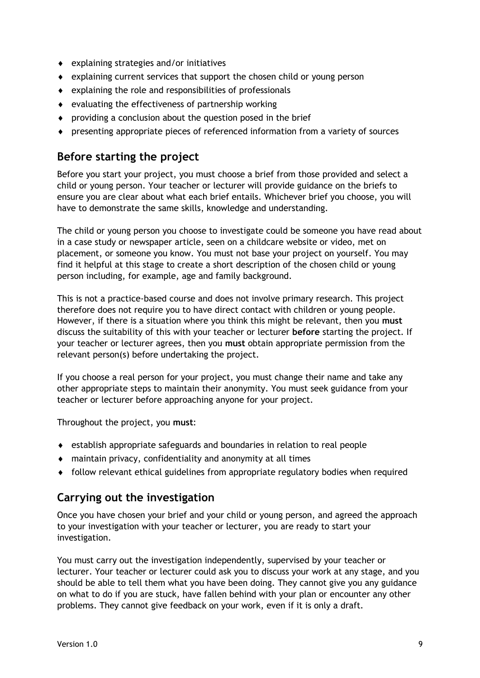- explaining strategies and/or initiatives
- explaining current services that support the chosen child or young person
- $\bullet$  explaining the role and responsibilities of professionals
- $\bullet$  evaluating the effectiveness of partnership working
- providing a conclusion about the question posed in the brief
- presenting appropriate pieces of referenced information from a variety of sources

#### **Before starting the project**

Before you start your project, you must choose a brief from those provided and select a child or young person. Your teacher or lecturer will provide guidance on the briefs to ensure you are clear about what each brief entails. Whichever brief you choose, you will have to demonstrate the same skills, knowledge and understanding.

The child or young person you choose to investigate could be someone you have read about in a case study or newspaper article, seen on a childcare website or video, met on placement, or someone you know. You must not base your project on yourself. You may find it helpful at this stage to create a short description of the chosen child or young person including, for example, age and family background.

This is not a practice-based course and does not involve primary research. This project therefore does not require you to have direct contact with children or young people. However, if there is a situation where you think this might be relevant, then you **must** discuss the suitability of this with your teacher or lecturer **before** starting the project. If your teacher or lecturer agrees, then you **must** obtain appropriate permission from the relevant person(s) before undertaking the project.

If you choose a real person for your project, you must change their name and take any other appropriate steps to maintain their anonymity. You must seek guidance from your teacher or lecturer before approaching anyone for your project.

Throughout the project, you **must**:

- establish appropriate safeguards and boundaries in relation to real people
- maintain privacy, confidentiality and anonymity at all times
- follow relevant ethical guidelines from appropriate regulatory bodies when required

#### **Carrying out the investigation**

Once you have chosen your brief and your child or young person, and agreed the approach to your investigation with your teacher or lecturer, you are ready to start your investigation.

You must carry out the investigation independently, supervised by your teacher or lecturer. Your teacher or lecturer could ask you to discuss your work at any stage, and you should be able to tell them what you have been doing. They cannot give you any guidance on what to do if you are stuck, have fallen behind with your plan or encounter any other problems. They cannot give feedback on your work, even if it is only a draft.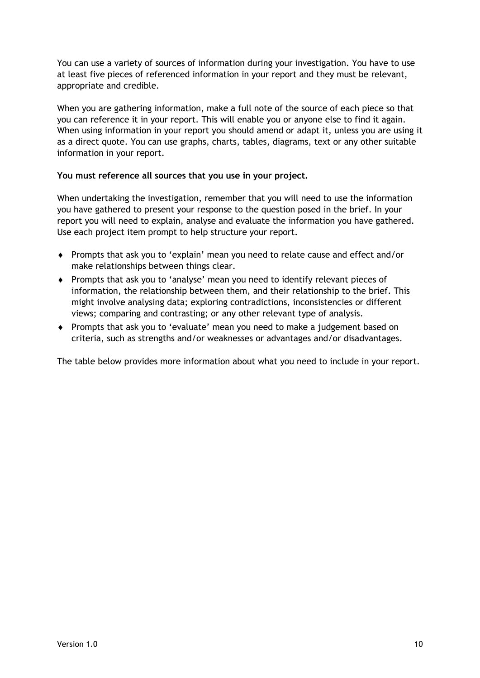You can use a variety of sources of information during your investigation. You have to use at least five pieces of referenced information in your report and they must be relevant, appropriate and credible.

When you are gathering information, make a full note of the source of each piece so that you can reference it in your report. This will enable you or anyone else to find it again. When using information in your report you should amend or adapt it, unless you are using it as a direct quote. You can use graphs, charts, tables, diagrams, text or any other suitable information in your report.

#### **You must reference all sources that you use in your project.**

When undertaking the investigation, remember that you will need to use the information you have gathered to present your response to the question posed in the brief. In your report you will need to explain, analyse and evaluate the information you have gathered. Use each project item prompt to help structure your report.

- Prompts that ask you to 'explain' mean you need to relate cause and effect and/or make relationships between things clear.
- Prompts that ask you to 'analyse' mean you need to identify relevant pieces of information, the relationship between them, and their relationship to the brief. This might involve analysing data; exploring contradictions, inconsistencies or different views; comparing and contrasting; or any other relevant type of analysis.
- Prompts that ask you to 'evaluate' mean you need to make a judgement based on criteria, such as strengths and/or weaknesses or advantages and/or disadvantages.

The table below provides more information about what you need to include in your report.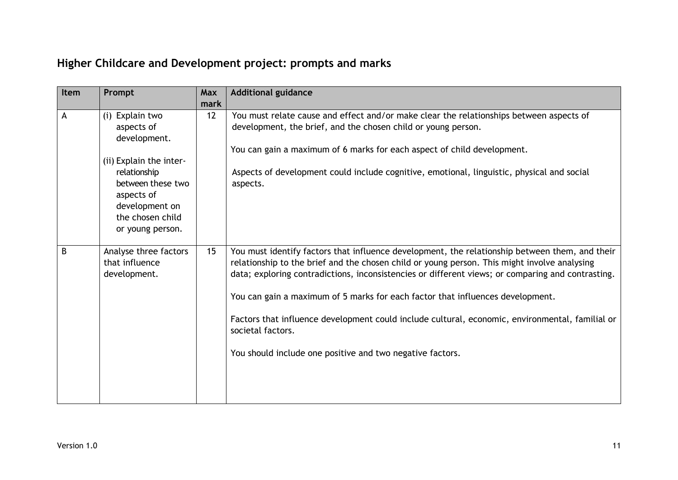### **Higher Childcare and Development project: prompts and marks**

| Item | Prompt                                                                                                                                                                                | <b>Max</b> | <b>Additional guidance</b>                                                                                                                                                                                                                                                                                                                                                                                                                                                                                                                                                 |
|------|---------------------------------------------------------------------------------------------------------------------------------------------------------------------------------------|------------|----------------------------------------------------------------------------------------------------------------------------------------------------------------------------------------------------------------------------------------------------------------------------------------------------------------------------------------------------------------------------------------------------------------------------------------------------------------------------------------------------------------------------------------------------------------------------|
|      |                                                                                                                                                                                       | mark       |                                                                                                                                                                                                                                                                                                                                                                                                                                                                                                                                                                            |
| A    | (i) Explain two<br>aspects of<br>development.<br>(ii) Explain the inter-<br>relationship<br>between these two<br>aspects of<br>development on<br>the chosen child<br>or young person. | 12         | You must relate cause and effect and/or make clear the relationships between aspects of<br>development, the brief, and the chosen child or young person.<br>You can gain a maximum of 6 marks for each aspect of child development.<br>Aspects of development could include cognitive, emotional, linguistic, physical and social<br>aspects.                                                                                                                                                                                                                              |
| B    | Analyse three factors<br>that influence<br>development.                                                                                                                               | 15         | You must identify factors that influence development, the relationship between them, and their<br>relationship to the brief and the chosen child or young person. This might involve analysing<br>data; exploring contradictions, inconsistencies or different views; or comparing and contrasting.<br>You can gain a maximum of 5 marks for each factor that influences development.<br>Factors that influence development could include cultural, economic, environmental, familial or<br>societal factors.<br>You should include one positive and two negative factors. |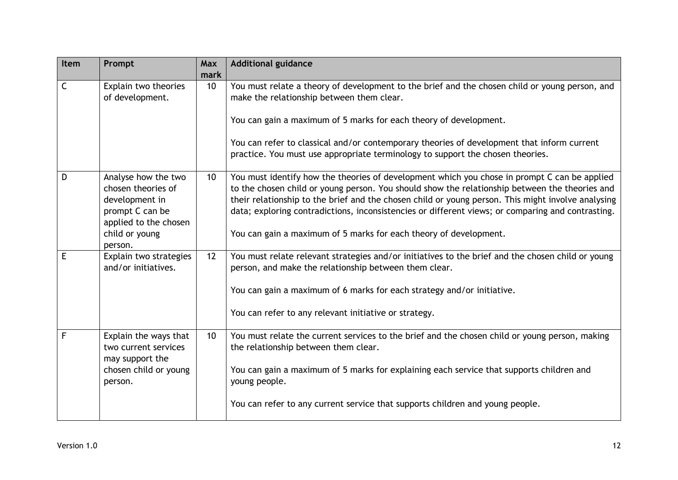| Item         | Prompt                                                                                                                               | Max<br>mark | <b>Additional guidance</b>                                                                                                                                                                                                                                                                                                                                                                                                                                                     |
|--------------|--------------------------------------------------------------------------------------------------------------------------------------|-------------|--------------------------------------------------------------------------------------------------------------------------------------------------------------------------------------------------------------------------------------------------------------------------------------------------------------------------------------------------------------------------------------------------------------------------------------------------------------------------------|
| $\mathsf{C}$ | Explain two theories<br>of development.                                                                                              | 10          | You must relate a theory of development to the brief and the chosen child or young person, and<br>make the relationship between them clear.<br>You can gain a maximum of 5 marks for each theory of development.<br>You can refer to classical and/or contemporary theories of development that inform current<br>practice. You must use appropriate terminology to support the chosen theories.                                                                               |
| D            | Analyse how the two<br>chosen theories of<br>development in<br>prompt C can be<br>applied to the chosen<br>child or young<br>person. | 10          | You must identify how the theories of development which you chose in prompt C can be applied<br>to the chosen child or young person. You should show the relationship between the theories and<br>their relationship to the brief and the chosen child or young person. This might involve analysing<br>data; exploring contradictions, inconsistencies or different views; or comparing and contrasting.<br>You can gain a maximum of 5 marks for each theory of development. |
| E            | Explain two strategies<br>and/or initiatives.                                                                                        | 12          | You must relate relevant strategies and/or initiatives to the brief and the chosen child or young<br>person, and make the relationship between them clear.<br>You can gain a maximum of 6 marks for each strategy and/or initiative.<br>You can refer to any relevant initiative or strategy.                                                                                                                                                                                  |
| F            | Explain the ways that<br>two current services<br>may support the<br>chosen child or young<br>person.                                 | 10          | You must relate the current services to the brief and the chosen child or young person, making<br>the relationship between them clear.<br>You can gain a maximum of 5 marks for explaining each service that supports children and<br>young people.<br>You can refer to any current service that supports children and young people.                                                                                                                                           |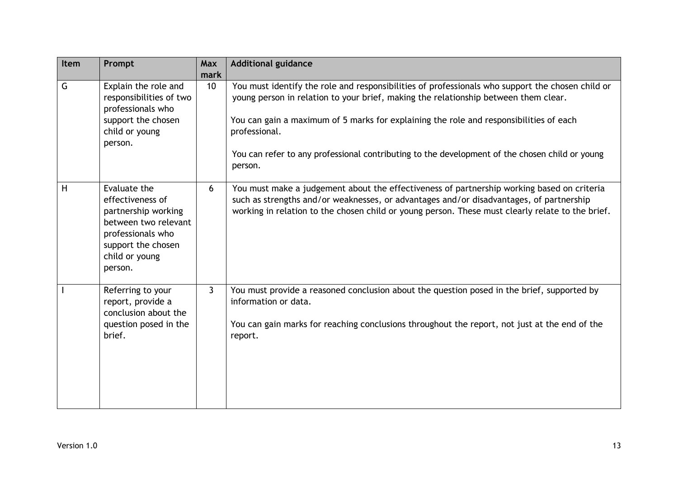| Item | Prompt                                                                                                                                                  | <b>Max</b><br>mark | <b>Additional guidance</b>                                                                                                                                                                                                                                                                                                                                                                                      |
|------|---------------------------------------------------------------------------------------------------------------------------------------------------------|--------------------|-----------------------------------------------------------------------------------------------------------------------------------------------------------------------------------------------------------------------------------------------------------------------------------------------------------------------------------------------------------------------------------------------------------------|
| G    | Explain the role and<br>responsibilities of two<br>professionals who<br>support the chosen<br>child or young<br>person.                                 | 10                 | You must identify the role and responsibilities of professionals who support the chosen child or<br>young person in relation to your brief, making the relationship between them clear.<br>You can gain a maximum of 5 marks for explaining the role and responsibilities of each<br>professional.<br>You can refer to any professional contributing to the development of the chosen child or young<br>person. |
| H    | Evaluate the<br>effectiveness of<br>partnership working<br>between two relevant<br>professionals who<br>support the chosen<br>child or young<br>person. | 6                  | You must make a judgement about the effectiveness of partnership working based on criteria<br>such as strengths and/or weaknesses, or advantages and/or disadvantages, of partnership<br>working in relation to the chosen child or young person. These must clearly relate to the brief.                                                                                                                       |
|      | Referring to your<br>report, provide a<br>conclusion about the<br>question posed in the<br>brief.                                                       | $\mathbf{3}$       | You must provide a reasoned conclusion about the question posed in the brief, supported by<br>information or data.<br>You can gain marks for reaching conclusions throughout the report, not just at the end of the<br>report.                                                                                                                                                                                  |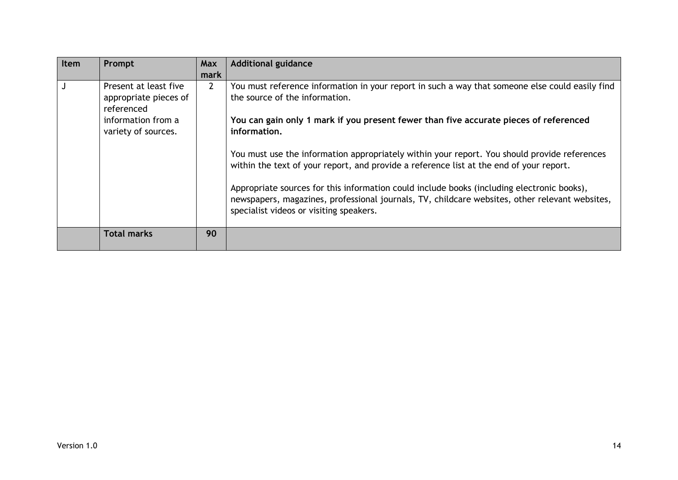| Item | Prompt                                                                                                    | Max            | <b>Additional guidance</b>                                                                                                                                                                                                                                                                                                                                                                                                                                                                                                                                                                                                                                                       |
|------|-----------------------------------------------------------------------------------------------------------|----------------|----------------------------------------------------------------------------------------------------------------------------------------------------------------------------------------------------------------------------------------------------------------------------------------------------------------------------------------------------------------------------------------------------------------------------------------------------------------------------------------------------------------------------------------------------------------------------------------------------------------------------------------------------------------------------------|
|      |                                                                                                           | mark           |                                                                                                                                                                                                                                                                                                                                                                                                                                                                                                                                                                                                                                                                                  |
|      | Present at least five<br>appropriate pieces of<br>referenced<br>information from a<br>variety of sources. | $\overline{2}$ | You must reference information in your report in such a way that someone else could easily find<br>the source of the information.<br>You can gain only 1 mark if you present fewer than five accurate pieces of referenced<br>information.<br>You must use the information appropriately within your report. You should provide references<br>within the text of your report, and provide a reference list at the end of your report.<br>Appropriate sources for this information could include books (including electronic books),<br>newspapers, magazines, professional journals, TV, childcare websites, other relevant websites,<br>specialist videos or visiting speakers. |
|      | <b>Total marks</b>                                                                                        | 90             |                                                                                                                                                                                                                                                                                                                                                                                                                                                                                                                                                                                                                                                                                  |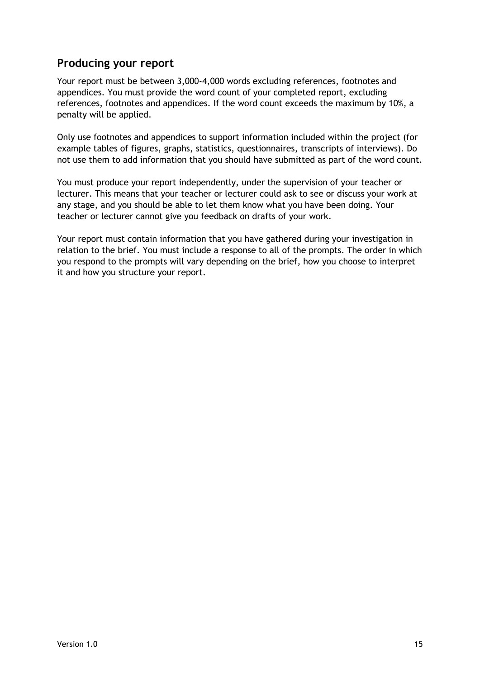#### **Producing your report**

Your report must be between 3,000-4,000 words excluding references, footnotes and appendices. You must provide the word count of your completed report, excluding references, footnotes and appendices. If the word count exceeds the maximum by 10%, a penalty will be applied.

Only use footnotes and appendices to support information included within the project (for example tables of figures, graphs, statistics, questionnaires, transcripts of interviews). Do not use them to add information that you should have submitted as part of the word count.

You must produce your report independently, under the supervision of your teacher or lecturer. This means that your teacher or lecturer could ask to see or discuss your work at any stage, and you should be able to let them know what you have been doing. Your teacher or lecturer cannot give you feedback on drafts of your work.

Your report must contain information that you have gathered during your investigation in relation to the brief. You must include a response to all of the prompts. The order in which you respond to the prompts will vary depending on the brief, how you choose to interpret it and how you structure your report.